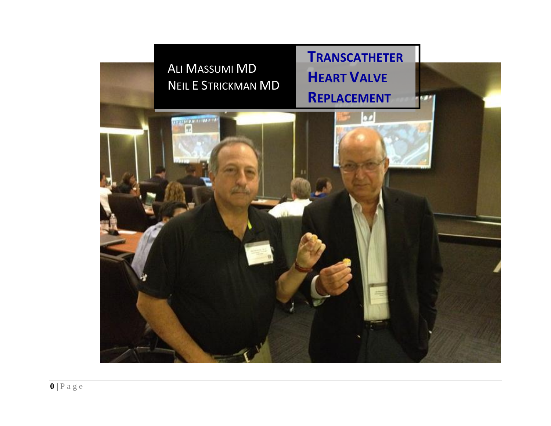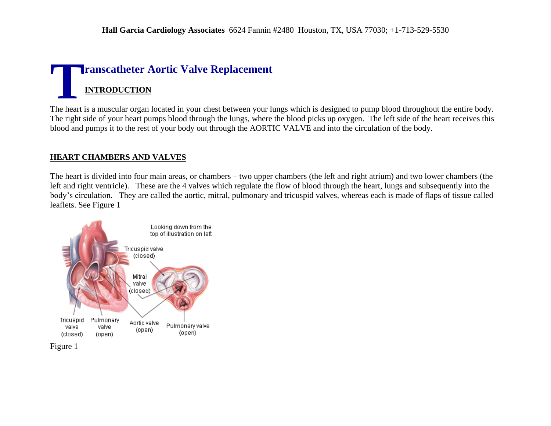# **ranscatheter Aortic Valve Replacement INTRODUCTION T**

The heart is a muscular organ located in your chest between your lungs which is designed to pump blood throughout the entire body. The right side of your heart pumps blood through the lungs, where the blood picks up oxygen. The left side of the heart receives this blood and pumps it to the rest of your body out through the AORTIC VALVE and into the circulation of the body.

#### **HEART CHAMBERS AND VALVES**

The heart is divided into four main areas, or chambers – two upper chambers (the left and right atrium) and two lower chambers (the left and right ventricle). These are the 4 valves which regulate the flow of blood through the heart, lungs and subsequently into the body's circulation. They are called the aortic, mitral, pulmonary and tricuspid valves, whereas each is made of flaps of tissue called leaflets. See Figure 1

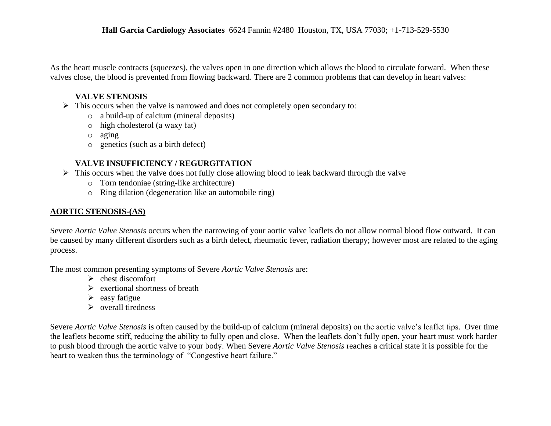As the heart muscle contracts (squeezes), the valves open in one direction which allows the blood to circulate forward. When these valves close, the blood is prevented from flowing backward. There are 2 common problems that can develop in heart valves:

#### **VALVE STENOSIS**

- $\triangleright$  This occurs when the valve is narrowed and does not completely open secondary to:
	- o a build-up of calcium (mineral deposits)
	- o high cholesterol (a waxy fat)
	- o aging
	- o genetics (such as a birth defect)

### **VALVE INSUFFICIENCY / REGURGITATION**

- $\triangleright$  This occurs when the valve does not fully close allowing blood to leak backward through the valve
	- o Torn tendoniae (string-like architecture)
	- o Ring dilation (degeneration like an automobile ring)

### **AORTIC STENOSIS-(AS)**

Severe *Aortic Valve Stenosis* occurs when the narrowing of your aortic valve leaflets do not allow normal blood flow outward. It can be caused by many different disorders such as a birth defect, rheumatic fever, radiation therapy; however most are related to the aging process.

The most common presenting symptoms of Severe *Aortic Valve Stenosis* are:

- $\triangleright$  chest discomfort
- $\triangleright$  exertional shortness of breath
- $\triangleright$  easy fatigue
- $\triangleright$  overall tiredness

Severe *Aortic Valve Stenosis* is often caused by the build-up of calcium (mineral deposits) on the aortic valve's leaflet tips. Over time the leaflets become stiff, reducing the ability to fully open and close. When the leaflets don't fully open, your heart must work harder to push blood through the aortic valve to your body. When Severe *Aortic Valve Stenosis* reaches a critical state it is possible for the heart to weaken thus the terminology of "Congestive heart failure."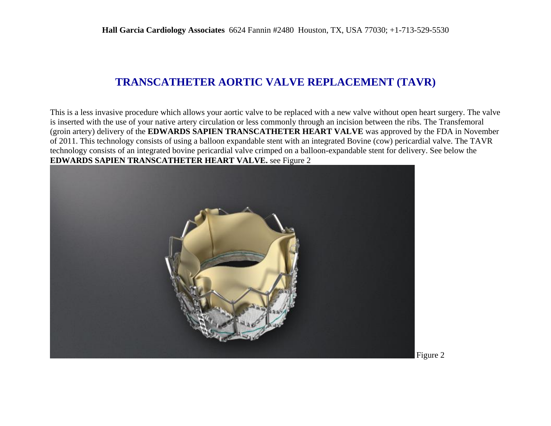### **TRANSCATHETER AORTIC VALVE REPLACEMENT (TAVR)**

This is a less invasive procedure which allows your aortic valve to be replaced with a new valve without open heart surgery. The valve is inserted with the use of your native artery circulation or less commonly through an incision between the ribs. The Transfemoral (groin artery) delivery of the **EDWARDS SAPIEN TRANSCATHETER HEART VALVE** was approved by the FDA in November of 2011. This technology consists of using a balloon expandable stent with an integrated Bovine (cow) pericardial valve. The TAVR technology consists of an integrated bovine pericardial valve crimped on a balloon-expandable stent for delivery. See below the **EDWARDS SAPIEN TRANSCATHETER HEART VALVE.** see Figure 2



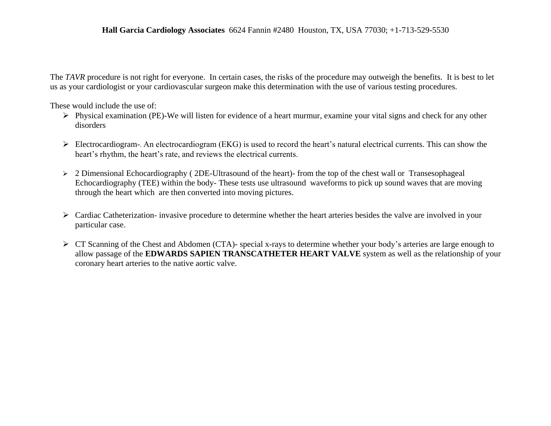The *TAVR* procedure is not right for everyone. In certain cases, the risks of the procedure may outweigh the benefits. It is best to let us as your cardiologist or your cardiovascular surgeon make this determination with the use of various testing procedures.

These would include the use of:

- $\triangleright$  Physical examination (PE)-We will listen for evidence of a heart murmur, examine your vital signs and check for any other disorders
- $\triangleright$  Electrocardiogram-. An electrocardiogram (EKG) is used to record the heart's natural electrical currents. This can show the heart's rhythm, the heart's rate, and reviews the electrical currents.
- > 2 Dimensional Echocardiography (2DE-Ultrasound of the heart)- from the top of the chest wall or Transesophageal Echocardiography (TEE) within the body- These tests use ultrasound waveforms to pick up sound waves that are moving through the heart which are then converted into moving pictures.
- $\triangleright$  Cardiac Catheterization- invasive procedure to determine whether the heart arteries besides the valve are involved in your particular case.
- $\triangleright$  CT Scanning of the Chest and Abdomen (CTA)- special x-rays to determine whether your body's arteries are large enough to allow passage of the **EDWARDS SAPIEN TRANSCATHETER HEART VALVE** system as well as the relationship of your coronary heart arteries to the native aortic valve.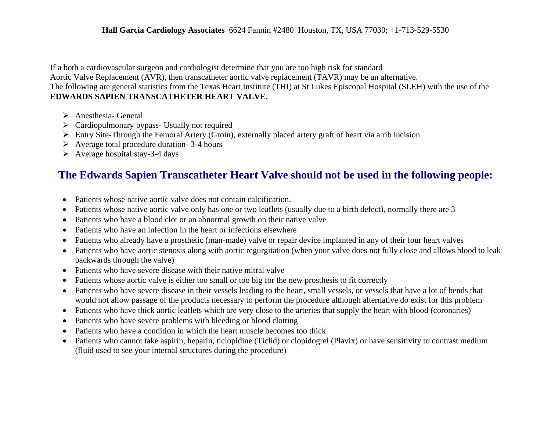If a both a cardiovascular surgeon and cardiologist determine that you are too high risk for standard

Aortic Valve Replacement (AVR), then transcatheter aortic valve replacement (TAVR) may be an alternative.

The following are general statistics from the Texas Heart Institute (THI) at St Lukes Episcopal Hospital (SLEH) with the use of the **EDWARDS SAPIEN TRANSCATHETER HEART VALVE.**

- > Anesthesia- General
- $\triangleright$  Cardiopulmonary bypass- Usually not required
- $\triangleright$  Entry Site-Through the Femoral Artery (Groin), externally placed artery graft of heart via a rib incision
- $\triangleright$  Average total procedure duration- 3-4 hours
- $\triangleright$  Average hospital stay-3-4 days

## **The Edwards Sapien Transcatheter Heart Valve should not be used in the following people:**

- Patients whose native aortic valve does not contain calcification.
- Patients whose native aortic valve only has one or two leaflets (usually due to a birth defect), normally there are 3
- Patients who have a blood clot or an abnormal growth on their native valve
- Patients who have an infection in the heart or infections elsewhere
- Patients who already have a prosthetic (man-made) valve or repair device implanted in any of their four heart valves
- Patients who have aortic stenosis along with aortic regurgitation (when your valve does not fully close and allows blood to leak backwards through the valve)
- Patients who have severe disease with their native mitral valve
- Patients whose aortic valve is either too small or too big for the new prosthesis to fit correctly
- Patients who have severe disease in their vessels leading to the heart, small vessels, or vessels that have a lot of bends that would not allow passage of the products necessary to perform the procedure although alternative do exist for this problem
- Patients who have thick aortic leaflets which are very close to the arteries that supply the heart with blood (coronaries)
- Patients who have severe problems with bleeding or blood clotting
- Patients who have a condition in which the heart muscle becomes too thick
- Patients who cannot take aspirin, heparin, ticlopidine (Ticlid) or clopidogrel (Plavix) or have sensitivity to contrast medium (fluid used to see your internal structures during the procedure)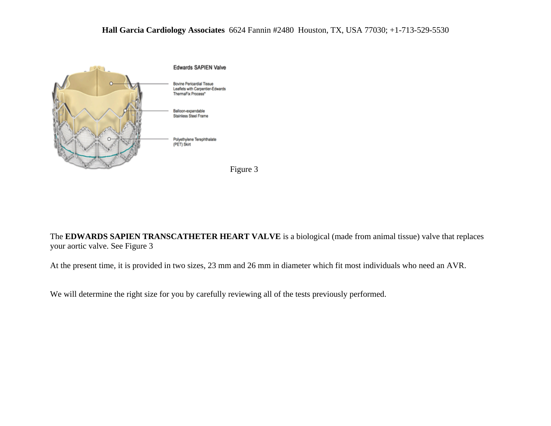

The **EDWARDS SAPIEN TRANSCATHETER HEART VALVE** is a biological (made from animal tissue) valve that replaces your aortic valve. See Figure 3

At the present time, it is provided in two sizes, 23 mm and 26 mm in diameter which fit most individuals who need an AVR.

We will determine the right size for you by carefully reviewing all of the tests previously performed.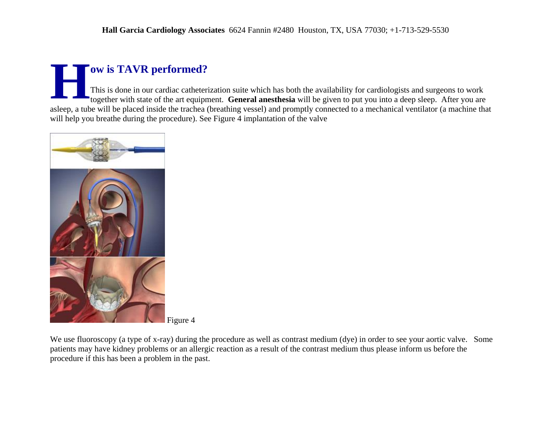# **ow is TAVR performed?**

This is done in our cardiac catheterization suite which has both the availability for cardiologists and surgeons to work together with state of the art equipment. **General anesthesia** will be given to put you into a deep sleep. After you are asleep, a tube will be placed inside the trachea (breathing vessel) and promptly connected to a mechanical ventilator (a machine that will help you breathe during the procedure). See Figure 4 implantation of the valve **H** 



Figure 4

We use fluoroscopy (a type of x-ray) during the procedure as well as contrast medium (dye) in order to see your aortic valve. Some patients may have kidney problems or an allergic reaction as a result of the contrast medium thus please inform us before the procedure if this has been a problem in the past.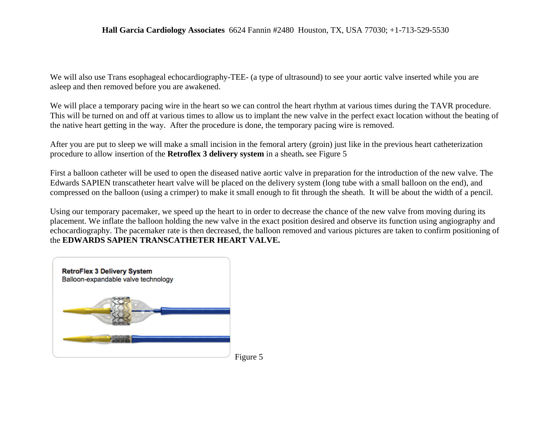We will also use Trans esophageal echocardiography-TEE- (a type of ultrasound) to see your aortic valve inserted while you are asleep and then removed before you are awakened.

We will place a temporary pacing wire in the heart so we can control the heart rhythm at various times during the TAVR procedure. This will be turned on and off at various times to allow us to implant the new valve in the perfect exact location without the beating of the native heart getting in the way. After the procedure is done, the temporary pacing wire is removed.

After you are put to sleep we will make a small incision in the femoral artery (groin) just like in the previous heart catheterization procedure to allow insertion of the **Retroflex 3 delivery system** in a sheath**.** see Figure 5

First a balloon catheter will be used to open the diseased native aortic valve in preparation for the introduction of the new valve. The Edwards SAPIEN transcatheter heart valve will be placed on the delivery system (long tube with a small balloon on the end), and compressed on the balloon (using a crimper) to make it small enough to fit through the sheath. It will be about the width of a pencil.

Using our temporary pacemaker, we speed up the heart to in order to decrease the chance of the new valve from moving during its placement. We inflate the balloon holding the new valve in the exact position desired and observe its function using angiography and echocardiography. The pacemaker rate is then decreased, the balloon removed and various pictures are taken to confirm positioning of the **EDWARDS SAPIEN TRANSCATHETER HEART VALVE.**

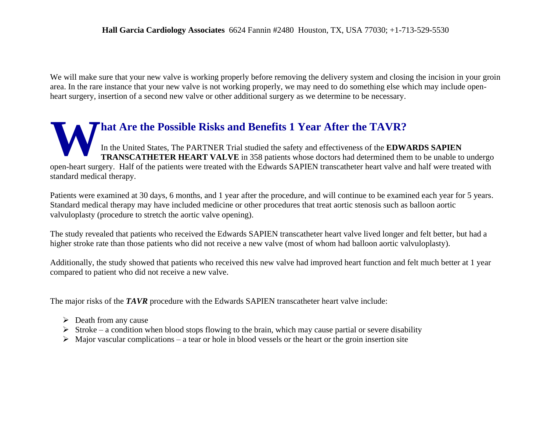We will make sure that your new valve is working properly before removing the delivery system and closing the incision in your groin area. In the rare instance that your new valve is not working properly, we may need to do something else which may include openheart surgery, insertion of a second new valve or other additional surgery as we determine to be necessary.

### **hat Are the Possible Risks and Benefits 1 Year After the TAVR?** In the United States, The PARTNER Trial studied the safety and effectiveness of the **EDWARDS SAPIEN TRANSCATHETER HEART VALVE** in 358 patients whose doctors had determined them to be unable to undergo open-heart surgery. Half of the patients were treated with the Edwards SAPIEN transcatheter heart valve and half were treated with standard medical therapy. **W**

Patients were examined at 30 days, 6 months, and 1 year after the procedure, and will continue to be examined each year for 5 years. Standard medical therapy may have included medicine or other procedures that treat aortic stenosis such as balloon aortic valvuloplasty (procedure to stretch the aortic valve opening).

The study revealed that patients who received the Edwards SAPIEN transcatheter heart valve lived longer and felt better, but had a higher stroke rate than those patients who did not receive a new valve (most of whom had balloon aortic valvuloplasty).

Additionally, the study showed that patients who received this new valve had improved heart function and felt much better at 1 year compared to patient who did not receive a new valve.

The major risks of the **TAVR** procedure with the Edwards SAPIEN transcatheter heart valve include:

- $\triangleright$  Death from any cause
- $\triangleright$  Stroke a condition when blood stops flowing to the brain, which may cause partial or severe disability
- $\triangleright$  Major vascular complications a tear or hole in blood vessels or the heart or the groin insertion site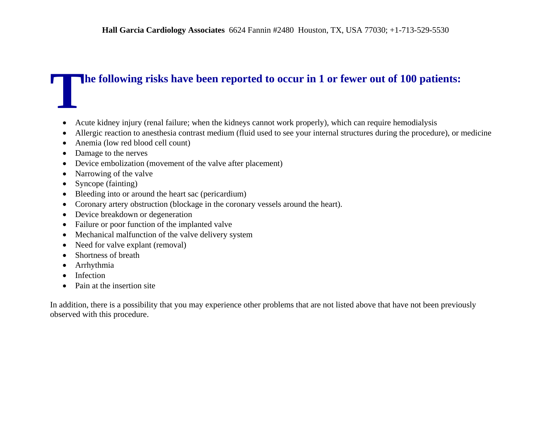# **he following risks have been reported to occur in 1 or fewer out of 100 patients: T**

- Acute kidney injury (renal failure; when the kidneys cannot work properly), which can require hemodialysis
- Allergic reaction to anesthesia contrast medium (fluid used to see your internal structures during the procedure), or medicine
- Anemia (low red blood cell count)
- Damage to the nerves
- Device embolization (movement of the valve after placement)
- Narrowing of the valve
- Syncope (fainting)
- Bleeding into or around the heart sac (pericardium)
- Coronary artery obstruction (blockage in the coronary vessels around the heart).
- Device breakdown or degeneration
- Failure or poor function of the implanted valve
- Mechanical malfunction of the valve delivery system
- Need for valve explant (removal)
- Shortness of breath
- Arrhythmia
- Infection
- Pain at the insertion site

In addition, there is a possibility that you may experience other problems that are not listed above that have not been previously observed with this procedure.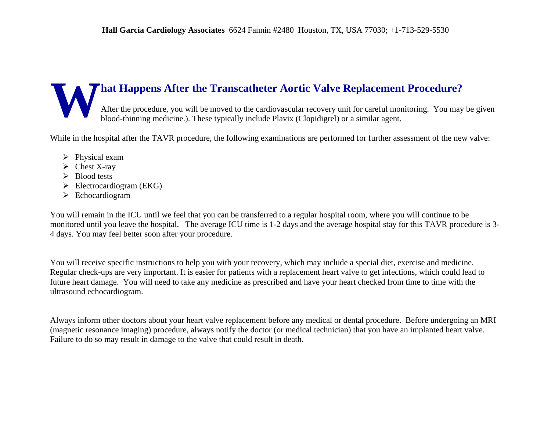## **hat Happens After the Transcatheter Aortic Valve Replacement Procedure?** After the procedure, you will be moved to the cardiovascular recovery unit for careful monitoring. You may be given blood-thinning medicine.). These typically include Plavix (Clopidigrel) or a similar agent. **W**

While in the hospital after the TAVR procedure, the following examinations are performed for further assessment of the new valve:

- $\triangleright$  Physical exam
- $\triangleright$  Chest X-ray
- $\triangleright$  Blood tests
- $\triangleright$  Electrocardiogram (EKG)
- $\triangleright$  Echocardiogram

You will remain in the ICU until we feel that you can be transferred to a regular hospital room, where you will continue to be monitored until you leave the hospital. The average ICU time is 1-2 days and the average hospital stay for this TAVR procedure is 3- 4 days. You may feel better soon after your procedure.

You will receive specific instructions to help you with your recovery, which may include a special diet, exercise and medicine. Regular check-ups are very important. It is easier for patients with a replacement heart valve to get infections, which could lead to future heart damage. You will need to take any medicine as prescribed and have your heart checked from time to time with the ultrasound echocardiogram.

Always inform other doctors about your heart valve replacement before any medical or dental procedure. Before undergoing an MRI (magnetic resonance imaging) procedure, always notify the doctor (or medical technician) that you have an implanted heart valve. Failure to do so may result in damage to the valve that could result in death.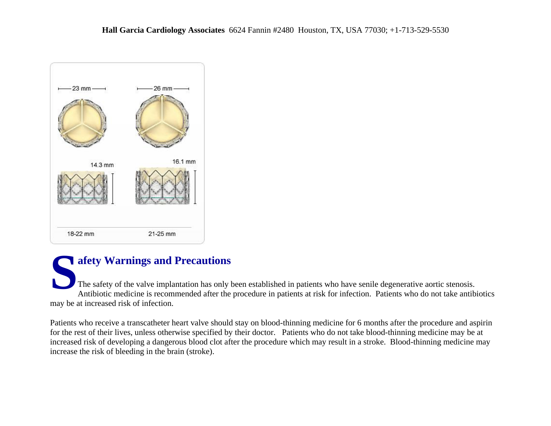

# **afety Warnings and Precautions**

The safety of the valve implantation has only been established in patients who have senile degenerative aortic stenosis. Antibiotic medicine is recommended after the procedure in patients at risk for infection. Patients who do not take antibiotics may be at increased risk of infection. **S**

Patients who receive a transcatheter heart valve should stay on blood-thinning medicine for 6 months after the procedure and aspirin for the rest of their lives, unless otherwise specified by their doctor. Patients who do not take blood-thinning medicine may be at increased risk of developing a dangerous blood clot after the procedure which may result in a stroke. Blood-thinning medicine may increase the risk of bleeding in the brain (stroke).